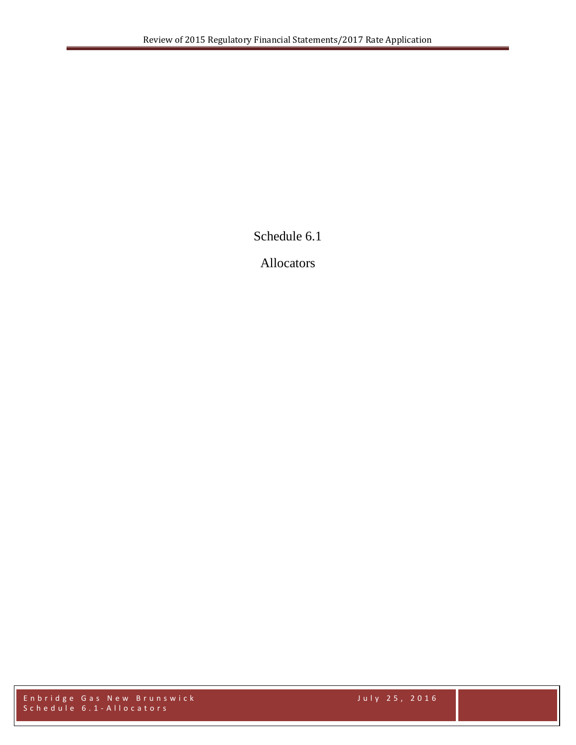Schedule 6.1

Allocators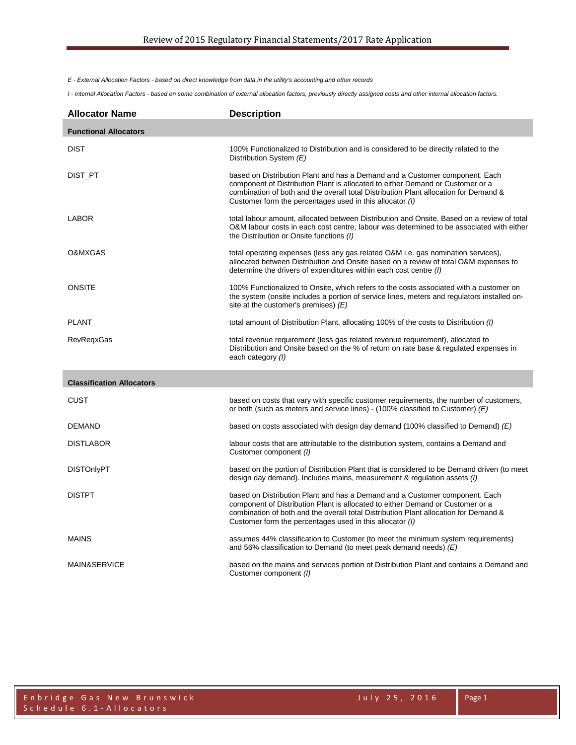*E - External Allocation Factors - based on direct knowledge from data in the utility's accounting and other records*

*I - Internal Allocation Factors - based on some combination of external allocation factors, previously directly assigned costs and other internal allocation factors.*

| <b>Allocator Name</b>            | <b>Description</b>                                                                                                                                                                                                                                                                                                |
|----------------------------------|-------------------------------------------------------------------------------------------------------------------------------------------------------------------------------------------------------------------------------------------------------------------------------------------------------------------|
| <b>Functional Allocators</b>     |                                                                                                                                                                                                                                                                                                                   |
| <b>DIST</b>                      | 100% Functionalized to Distribution and is considered to be directly related to the<br>Distribution System (E)                                                                                                                                                                                                    |
| DIST_PT                          | based on Distribution Plant and has a Demand and a Customer component. Each<br>component of Distribution Plant is allocated to either Demand or Customer or a<br>combination of both and the overall total Distribution Plant allocation for Demand &<br>Customer form the percentages used in this allocator (I) |
| <b>LABOR</b>                     | total labour amount, allocated between Distribution and Onsite. Based on a review of total<br>O&M labour costs in each cost centre, labour was determined to be associated with either<br>the Distribution or Onsite functions (I)                                                                                |
| O&MXGAS                          | total operating expenses (less any gas related O&M i.e. gas nomination services),<br>allocated between Distribution and Onsite based on a review of total O&M expenses to<br>determine the drivers of expenditures within each cost centre (I)                                                                    |
| <b>ONSITE</b>                    | 100% Functionalized to Onsite, which refers to the costs associated with a customer on<br>the system (onsite includes a portion of service lines, meters and regulators installed on-<br>site at the customer's premises) $(E)$                                                                                   |
| <b>PLANT</b>                     | total amount of Distribution Plant, allocating 100% of the costs to Distribution (1)                                                                                                                                                                                                                              |
| <b>RevRegxGas</b>                | total revenue requirement (less gas related revenue requirement), allocated to<br>Distribution and Onsite based on the % of return on rate base & regulated expenses in<br>each category (I)                                                                                                                      |
| <b>Classification Allocators</b> |                                                                                                                                                                                                                                                                                                                   |
| <b>CUST</b>                      | based on costs that vary with specific customer requirements, the number of customers,<br>or both (such as meters and service lines) - (100% classified to Customer) $(E)$                                                                                                                                        |
| <b>DEMAND</b>                    | based on costs associated with design day demand (100% classified to Demand) $(E)$                                                                                                                                                                                                                                |
| <b>DISTLABOR</b>                 | labour costs that are attributable to the distribution system, contains a Demand and<br>Customer component (I)                                                                                                                                                                                                    |
| <b>DISTOnlyPT</b>                | based on the portion of Distribution Plant that is considered to be Demand driven (to meet<br>design day demand). Includes mains, measurement & regulation assets (I)                                                                                                                                             |
| <b>DISTPT</b>                    | based on Distribution Plant and has a Demand and a Customer component. Each<br>component of Distribution Plant is allocated to either Demand or Customer or a<br>combination of both and the overall total Distribution Plant allocation for Demand &<br>Customer form the percentages used in this allocator (I) |
| <b>MAINS</b>                     | assumes 44% classification to Customer (to meet the minimum system requirements)<br>and 56% classification to Demand (to meet peak demand needs) $(E)$                                                                                                                                                            |
| MAIN&SERVICE                     | based on the mains and services portion of Distribution Plant and contains a Demand and<br>Customer component (I)                                                                                                                                                                                                 |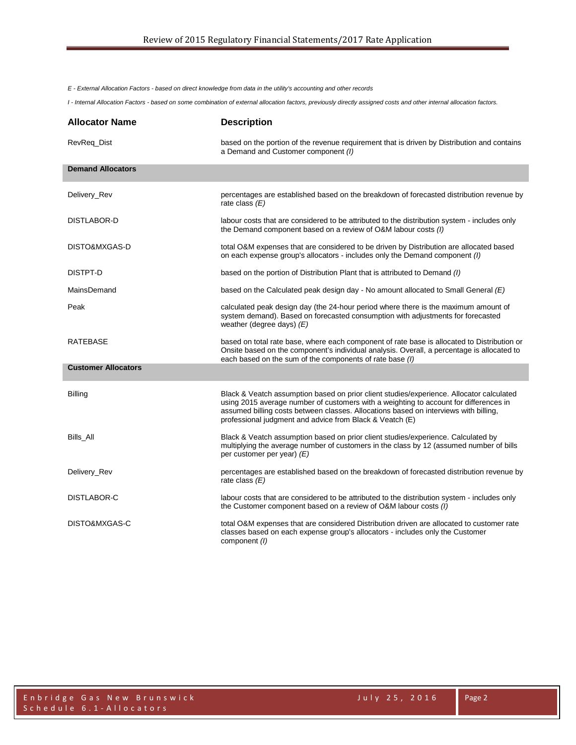*E - External Allocation Factors - based on direct knowledge from data in the utility's accounting and other records*

*I - Internal Allocation Factors - based on some combination of external allocation factors, previously directly assigned costs and other internal allocation factors.*

| <b>Allocator Name</b>      | <b>Description</b>                                                                                                                                                                                                                                                                                                                    |
|----------------------------|---------------------------------------------------------------------------------------------------------------------------------------------------------------------------------------------------------------------------------------------------------------------------------------------------------------------------------------|
| RevReq_Dist                | based on the portion of the revenue requirement that is driven by Distribution and contains<br>a Demand and Customer component (I)                                                                                                                                                                                                    |
| <b>Demand Allocators</b>   |                                                                                                                                                                                                                                                                                                                                       |
| Delivery_Rev               | percentages are established based on the breakdown of forecasted distribution revenue by<br>rate class $(E)$                                                                                                                                                                                                                          |
| DISTLABOR-D                | labour costs that are considered to be attributed to the distribution system - includes only<br>the Demand component based on a review of O&M labour costs (I)                                                                                                                                                                        |
| DISTO&MXGAS-D              | total O&M expenses that are considered to be driven by Distribution are allocated based<br>on each expense group's allocators - includes only the Demand component (I)                                                                                                                                                                |
| DISTPT-D                   | based on the portion of Distribution Plant that is attributed to Demand (I)                                                                                                                                                                                                                                                           |
| MainsDemand                | based on the Calculated peak design day - No amount allocated to Small General $(E)$                                                                                                                                                                                                                                                  |
| Peak                       | calculated peak design day (the 24-hour period where there is the maximum amount of<br>system demand). Based on forecasted consumption with adjustments for forecasted<br>weather (degree days) $(E)$                                                                                                                                 |
| <b>RATEBASE</b>            | based on total rate base, where each component of rate base is allocated to Distribution or<br>Onsite based on the component's individual analysis. Overall, a percentage is allocated to<br>each based on the sum of the components of rate base (I)                                                                                 |
| <b>Customer Allocators</b> |                                                                                                                                                                                                                                                                                                                                       |
| <b>Billing</b>             | Black & Veatch assumption based on prior client studies/experience. Allocator calculated<br>using 2015 average number of customers with a weighting to account for differences in<br>assumed billing costs between classes. Allocations based on interviews with billing,<br>professional judgment and advice from Black & Veatch (E) |
| Bills All                  | Black & Veatch assumption based on prior client studies/experience. Calculated by<br>multiplying the average number of customers in the class by 12 (assumed number of bills<br>per customer per year) $(E)$                                                                                                                          |
| Delivery_Rev               | percentages are established based on the breakdown of forecasted distribution revenue by<br>rate class $(E)$                                                                                                                                                                                                                          |
| DISTLABOR-C                | labour costs that are considered to be attributed to the distribution system - includes only<br>the Customer component based on a review of O&M labour costs (I)                                                                                                                                                                      |
| DISTO&MXGAS-C              | total O&M expenses that are considered Distribution driven are allocated to customer rate<br>classes based on each expense group's allocators - includes only the Customer<br>component (I)                                                                                                                                           |